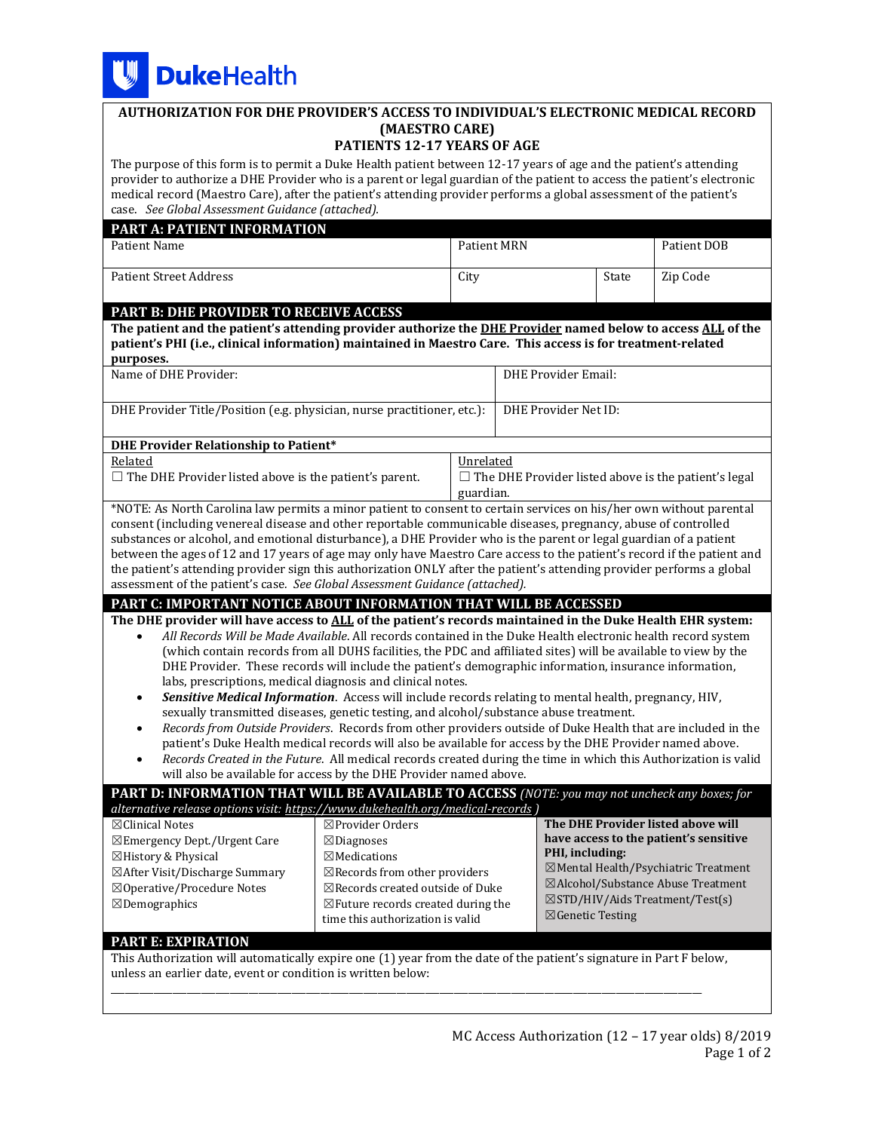

## **AUTHORIZATION FOR DHE PROVIDER'S ACCESS TO INDIVIDUAL'S ELECTRONIC MEDICAL RECORD (MAESTRO CARE) PATIENTS 12-17 YEARS OF AGE** The purpose of this form is to permit a Duke Health patient between 12-17 years of age and the patient's attending provider to authorize a DHE Provider who is a parent or legal guardian of the patient to access the patient's electronic medical record (Maestro Care), after the patient's attending provider performs a global assessment of the patient's case. *See Global Assessment Guidance (attached).* **PART A: PATIENT INFORMATION**

| PART A: PATIENT INFURMATION<br><b>Patient Name</b>                                                                                                                                                                                                                                                                                                                                                                                                                                                                                                                                                                                                                                                                                                                                                                                                                                                                                                                                                                                                                                                                                                                                                 |                                                                                                                                                                                                                                           | Patient MRN |                                                                          |                                                | Patient DOB |                                                                                                                                                                                               |  |
|----------------------------------------------------------------------------------------------------------------------------------------------------------------------------------------------------------------------------------------------------------------------------------------------------------------------------------------------------------------------------------------------------------------------------------------------------------------------------------------------------------------------------------------------------------------------------------------------------------------------------------------------------------------------------------------------------------------------------------------------------------------------------------------------------------------------------------------------------------------------------------------------------------------------------------------------------------------------------------------------------------------------------------------------------------------------------------------------------------------------------------------------------------------------------------------------------|-------------------------------------------------------------------------------------------------------------------------------------------------------------------------------------------------------------------------------------------|-------------|--------------------------------------------------------------------------|------------------------------------------------|-------------|-----------------------------------------------------------------------------------------------------------------------------------------------------------------------------------------------|--|
| <b>Patient Street Address</b>                                                                                                                                                                                                                                                                                                                                                                                                                                                                                                                                                                                                                                                                                                                                                                                                                                                                                                                                                                                                                                                                                                                                                                      |                                                                                                                                                                                                                                           | City        |                                                                          |                                                | State       | Zip Code                                                                                                                                                                                      |  |
| PART B: DHE PROVIDER TO RECEIVE ACCESS                                                                                                                                                                                                                                                                                                                                                                                                                                                                                                                                                                                                                                                                                                                                                                                                                                                                                                                                                                                                                                                                                                                                                             |                                                                                                                                                                                                                                           |             |                                                                          |                                                |             |                                                                                                                                                                                               |  |
| The patient and the patient's attending provider authorize the DHE Provider named below to access ALL of the                                                                                                                                                                                                                                                                                                                                                                                                                                                                                                                                                                                                                                                                                                                                                                                                                                                                                                                                                                                                                                                                                       |                                                                                                                                                                                                                                           |             |                                                                          |                                                |             |                                                                                                                                                                                               |  |
| patient's PHI (i.e., clinical information) maintained in Maestro Care. This access is for treatment-related                                                                                                                                                                                                                                                                                                                                                                                                                                                                                                                                                                                                                                                                                                                                                                                                                                                                                                                                                                                                                                                                                        |                                                                                                                                                                                                                                           |             |                                                                          |                                                |             |                                                                                                                                                                                               |  |
| purposes.                                                                                                                                                                                                                                                                                                                                                                                                                                                                                                                                                                                                                                                                                                                                                                                                                                                                                                                                                                                                                                                                                                                                                                                          |                                                                                                                                                                                                                                           |             | <b>DHE Provider Email:</b>                                               |                                                |             |                                                                                                                                                                                               |  |
| Name of DHE Provider:                                                                                                                                                                                                                                                                                                                                                                                                                                                                                                                                                                                                                                                                                                                                                                                                                                                                                                                                                                                                                                                                                                                                                                              |                                                                                                                                                                                                                                           |             |                                                                          |                                                |             |                                                                                                                                                                                               |  |
| DHE Provider Title/Position (e.g. physician, nurse practitioner, etc.):                                                                                                                                                                                                                                                                                                                                                                                                                                                                                                                                                                                                                                                                                                                                                                                                                                                                                                                                                                                                                                                                                                                            |                                                                                                                                                                                                                                           |             |                                                                          | DHE Provider Net ID:                           |             |                                                                                                                                                                                               |  |
|                                                                                                                                                                                                                                                                                                                                                                                                                                                                                                                                                                                                                                                                                                                                                                                                                                                                                                                                                                                                                                                                                                                                                                                                    |                                                                                                                                                                                                                                           |             |                                                                          |                                                |             |                                                                                                                                                                                               |  |
| <b>DHE Provider Relationship to Patient*</b><br>Related                                                                                                                                                                                                                                                                                                                                                                                                                                                                                                                                                                                                                                                                                                                                                                                                                                                                                                                                                                                                                                                                                                                                            |                                                                                                                                                                                                                                           | Unrelated   |                                                                          |                                                |             |                                                                                                                                                                                               |  |
| $\Box$ The DHE Provider listed above is the patient's parent.                                                                                                                                                                                                                                                                                                                                                                                                                                                                                                                                                                                                                                                                                                                                                                                                                                                                                                                                                                                                                                                                                                                                      |                                                                                                                                                                                                                                           |             | $\Box$ The DHE Provider listed above is the patient's legal<br>guardian. |                                                |             |                                                                                                                                                                                               |  |
| *NOTE: As North Carolina law permits a minor patient to consent to certain services on his/her own without parental<br>consent (including venereal disease and other reportable communicable diseases, pregnancy, abuse of controlled<br>substances or alcohol, and emotional disturbance), a DHE Provider who is the parent or legal guardian of a patient<br>between the ages of 12 and 17 years of age may only have Maestro Care access to the patient's record if the patient and<br>the patient's attending provider sign this authorization ONLY after the patient's attending provider performs a global<br>assessment of the patient's case. See Global Assessment Guidance (attached).                                                                                                                                                                                                                                                                                                                                                                                                                                                                                                   |                                                                                                                                                                                                                                           |             |                                                                          |                                                |             |                                                                                                                                                                                               |  |
| PART C: IMPORTANT NOTICE ABOUT INFORMATION THAT WILL BE ACCESSED                                                                                                                                                                                                                                                                                                                                                                                                                                                                                                                                                                                                                                                                                                                                                                                                                                                                                                                                                                                                                                                                                                                                   |                                                                                                                                                                                                                                           |             |                                                                          |                                                |             |                                                                                                                                                                                               |  |
| The DHE provider will have access to ALL of the patient's records maintained in the Duke Health EHR system:<br>All Records Will be Made Available. All records contained in the Duke Health electronic health record system<br>$\bullet$<br>(which contain records from all DUHS facilities, the PDC and affiliated sites) will be available to view by the<br>DHE Provider. These records will include the patient's demographic information, insurance information,<br>labs, prescriptions, medical diagnosis and clinical notes.<br>Sensitive Medical Information. Access will include records relating to mental health, pregnancy, HIV,<br>$\bullet$<br>sexually transmitted diseases, genetic testing, and alcohol/substance abuse treatment.<br>Records from Outside Providers. Records from other providers outside of Duke Health that are included in the<br>$\bullet$<br>patient's Duke Health medical records will also be available for access by the DHE Provider named above.<br>Records Created in the Future. All medical records created during the time in which this Authorization is valid<br>$\bullet$<br>will also be available for access by the DHE Provider named above. |                                                                                                                                                                                                                                           |             |                                                                          |                                                |             |                                                                                                                                                                                               |  |
| PART D: INFORMATION THAT WILL BE AVAILABLE TO ACCESS (NOTE: you may not uncheck any boxes; for                                                                                                                                                                                                                                                                                                                                                                                                                                                                                                                                                                                                                                                                                                                                                                                                                                                                                                                                                                                                                                                                                                     |                                                                                                                                                                                                                                           |             |                                                                          |                                                |             |                                                                                                                                                                                               |  |
| alternative release options visit: https://www.dukehealth.org/medical-records )<br>⊠Clinical Notes<br>⊠Emergency Dept./Urgent Care<br>⊠History & Physical<br>⊠After Visit/Discharge Summary<br>⊠Operative/Procedure Notes<br>$\boxtimes$ Demographics                                                                                                                                                                                                                                                                                                                                                                                                                                                                                                                                                                                                                                                                                                                                                                                                                                                                                                                                              | $\boxtimes$ Provider Orders<br>⊠Diagnoses<br>$\boxtimes$ Medications<br>⊠Records from other providers<br>$\boxtimes$ Records created outside of Duke<br>$\boxtimes$ Future records created during the<br>time this authorization is valid |             |                                                                          | PHI, including:<br>$\boxtimes$ Genetic Testing |             | The DHE Provider listed above will<br>have access to the patient's sensitive<br>⊠Mental Health/Psychiatric Treatment<br>⊠Alcohol/Substance Abuse Treatment<br>⊠STD/HIV/Aids Treatment/Test(s) |  |
| <b>PART E: EXPIRATION</b>                                                                                                                                                                                                                                                                                                                                                                                                                                                                                                                                                                                                                                                                                                                                                                                                                                                                                                                                                                                                                                                                                                                                                                          |                                                                                                                                                                                                                                           |             |                                                                          |                                                |             |                                                                                                                                                                                               |  |
| This Authorization will automatically expire one (1) year from the date of the patient's signature in Part F below,<br>unless an earlier date, event or condition is written below:                                                                                                                                                                                                                                                                                                                                                                                                                                                                                                                                                                                                                                                                                                                                                                                                                                                                                                                                                                                                                |                                                                                                                                                                                                                                           |             |                                                                          |                                                |             |                                                                                                                                                                                               |  |

\_\_\_\_\_\_\_\_\_\_\_\_\_\_\_\_\_\_\_\_\_\_\_\_\_\_\_\_\_\_\_\_\_\_\_\_\_\_\_\_\_\_\_\_\_\_\_\_\_\_\_\_\_\_\_\_\_\_\_\_\_\_\_\_\_\_\_\_\_\_\_\_\_\_\_\_\_\_\_\_\_\_\_\_\_\_\_\_\_\_\_\_\_\_\_\_\_\_\_\_\_\_\_\_\_\_\_\_\_\_\_\_\_\_\_\_\_\_\_\_\_\_\_\_